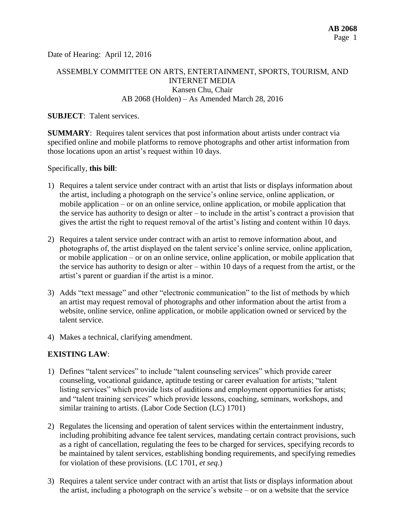Date of Hearing: April 12, 2016

## ASSEMBLY COMMITTEE ON ARTS, ENTERTAINMENT, SPORTS, TOURISM, AND INTERNET MEDIA Kansen Chu, Chair AB 2068 (Holden) – As Amended March 28, 2016

#### **SUBJECT**: Talent services.

**SUMMARY**: Requires talent services that post information about artists under contract via specified online and mobile platforms to remove photographs and other artist information from those locations upon an artist's request within 10 days.

#### Specifically, **this bill**:

- 1) Requires a talent service under contract with an artist that lists or displays information about the artist, including a photograph on the service's online service, online application, or mobile application – or on an online service, online application, or mobile application that the service has authority to design or alter – to include in the artist's contract a provision that gives the artist the right to request removal of the artist's listing and content within 10 days.
- 2) Requires a talent service under contract with an artist to remove information about, and photographs of, the artist displayed on the talent service's online service, online application, or mobile application – or on an online service, online application, or mobile application that the service has authority to design or alter – within 10 days of a request from the artist, or the artist's parent or guardian if the artist is a minor.
- 3) Adds "text message" and other "electronic communication" to the list of methods by which an artist may request removal of photographs and other information about the artist from a website, online service, online application, or mobile application owned or serviced by the talent service.
- 4) Makes a technical, clarifying amendment.

## **EXISTING LAW**:

- 1) Defines "talent services" to include "talent counseling services" which provide career counseling, vocational guidance, aptitude testing or career evaluation for artists; "talent listing services" which provide lists of auditions and employment opportunities for artists; and "talent training services" which provide lessons, coaching, seminars, workshops, and similar training to artists. (Labor Code Section (LC) 1701)
- 2) Regulates the licensing and operation of talent services within the entertainment industry, including prohibiting advance fee talent services, mandating certain contract provisions, such as a right of cancellation, regulating the fees to be charged for services, specifying records to be maintained by talent services, establishing bonding requirements, and specifying remedies for violation of these provisions. (LC 1701, *et seq*.)
- 3) Requires a talent service under contract with an artist that lists or displays information about the artist, including a photograph on the service's website – or on a website that the service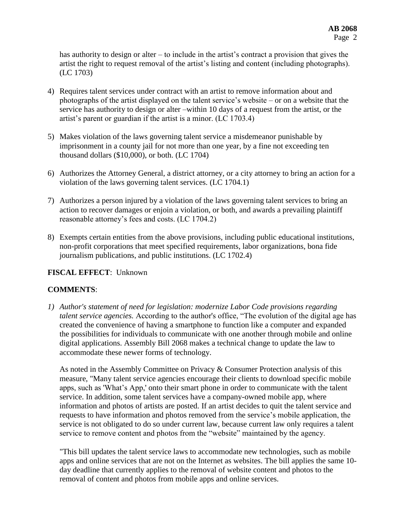has authority to design or alter – to include in the artist's contract a provision that gives the artist the right to request removal of the artist's listing and content (including photographs). (LC 1703)

- 4) Requires talent services under contract with an artist to remove information about and photographs of the artist displayed on the talent service's website – or on a website that the service has authority to design or alter –within 10 days of a request from the artist, or the artist's parent or guardian if the artist is a minor. (LC 1703.4)
- 5) Makes violation of the laws governing talent service a misdemeanor punishable by imprisonment in a county jail for not more than one year, by a fine not exceeding ten thousand dollars (\$10,000), or both. (LC 1704)
- 6) Authorizes the Attorney General, a district attorney, or a city attorney to bring an action for a violation of the laws governing talent services. (LC 1704.1)
- 7) Authorizes a person injured by a violation of the laws governing talent services to bring an action to recover damages or enjoin a violation, or both, and awards a prevailing plaintiff reasonable attorney's fees and costs. (LC 1704.2)
- 8) Exempts certain entities from the above provisions, including public educational institutions, non-profit corporations that meet specified requirements, labor organizations, bona fide journalism publications, and public institutions. (LC 1702.4)

# **FISCAL EFFECT**: Unknown

# **COMMENTS**:

*1) Author's statement of need for legislation: modernize Labor Code provisions regarding talent service agencies.* According to the author's office, "The evolution of the digital age has created the convenience of having a smartphone to function like a computer and expanded the possibilities for individuals to communicate with one another through mobile and online digital applications. Assembly Bill 2068 makes a technical change to update the law to accommodate these newer forms of technology.

As noted in the Assembly Committee on Privacy & Consumer Protection analysis of this measure, "Many talent service agencies encourage their clients to download specific mobile apps, such as 'What's App,' onto their smart phone in order to communicate with the talent service. In addition, some talent services have a company-owned mobile app, where information and photos of artists are posted. If an artist decides to quit the talent service and requests to have information and photos removed from the service's mobile application, the service is not obligated to do so under current law, because current law only requires a talent service to remove content and photos from the "website" maintained by the agency.

"This bill updates the talent service laws to accommodate new technologies, such as mobile apps and online services that are not on the Internet as websites. The bill applies the same 10 day deadline that currently applies to the removal of website content and photos to the removal of content and photos from mobile apps and online services.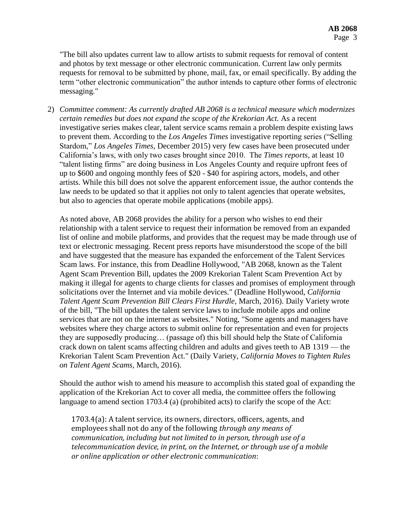"The bill also updates current law to allow artists to submit requests for removal of content and photos by text message or other electronic communication. Current law only permits requests for removal to be submitted by phone, mail, fax, or email specifically. By adding the term "other electronic communication" the author intends to capture other forms of electronic messaging."

2) *Committee comment: As currently drafted AB 2068 is a technical measure which modernizes certain remedies but does not expand the scope of the Krekorian Act.* As a recent investigative series makes clear, talent service scams remain a problem despite existing laws to prevent them. According to the *Los Angeles Times* investigative reporting series ("Selling Stardom," *Los Angeles Times*, December 2015) very few cases have been prosecuted under California's laws, with only two cases brought since 2010. The *Times reports*, at least 10 "talent listing firms" are doing business in Los Angeles County and require upfront fees of up to \$600 and ongoing monthly fees of \$20 - \$40 for aspiring actors, models, and other artists. While this bill does not solve the apparent enforcement issue, the author contends the law needs to be updated so that it applies not only to talent agencies that operate websites, but also to agencies that operate mobile applications (mobile apps).

As noted above, AB 2068 provides the ability for a person who wishes to end their relationship with a talent service to request their information be removed from an expanded list of online and mobile platforms, and provides that the request may be made through use of text or electronic messaging. Recent press reports have misunderstood the scope of the bill and have suggested that the measure has expanded the enforcement of the Talent Services Scam laws. For instance, this from Deadline Hollywood, "AB 2068, known as the Talent Agent Scam Prevention Bill, updates the 2009 Krekorian Talent Scam Prevention Act by making it illegal for agents to charge clients for classes and promises of employment through solicitations over the Internet and via mobile devices." (Deadline Hollywood, *California Talent Agent Scam Prevention Bill Clears First Hurdle*, March, 2016). Daily Variety wrote of the bill, "The bill updates the talent service laws to include mobile apps and online services that are not on the internet as websites." Noting, "Some agents and managers have websites where they charge actors to submit online for representation and even for projects they are supposedly producing… (passage of) this bill should help the State of California crack down on talent scams affecting children and adults and gives teeth to AB 1319 — the Krekorian Talent Scam Prevention Act." (Daily Variety, *California Moves to Tighten Rules on Talent Agent Scams,* March, 2016).

Should the author wish to amend his measure to accomplish this stated goal of expanding the application of the Krekorian Act to cover all media, the committee offers the following language to amend section 1703.4 (a) (prohibited acts) to clarify the scope of the Act:

1703.4(a): A talent service, its owners, directors, officers, agents, and employees shall not do any of the following *through any means of communication, including but not limited to in person, through use of a telecommunication device, in print, on the Internet, or through use of a mobile or online application or other electronic communication*: